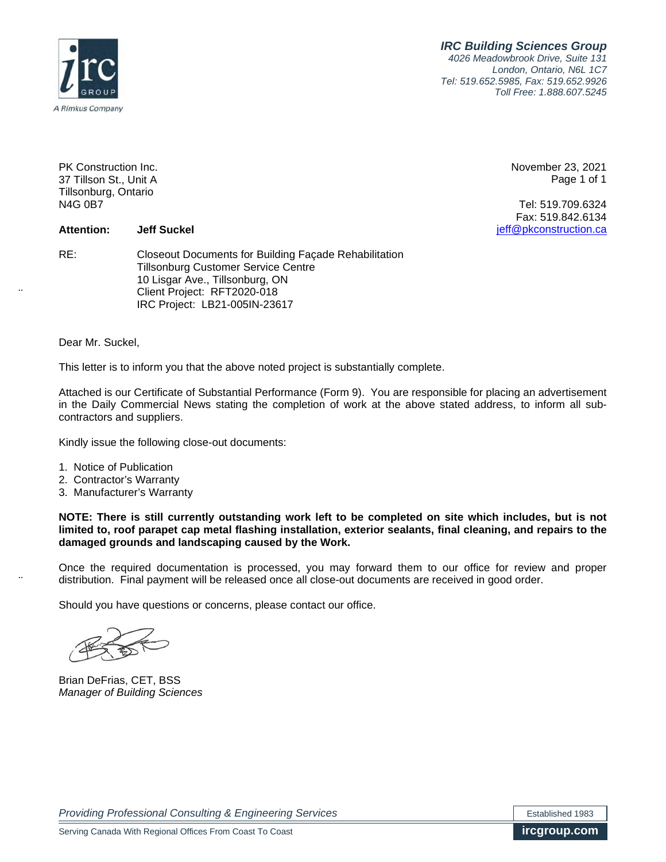*IRC Building Sciences Group 4026 Meadowbrook Drive, Suite 131*

*London, Ontario, N6L 1C7 Tel: 519.652.5985, Fax: 519.652.9926 Toll Free: 1.888.607.5245*



PK Construction Inc. 37 Tillson St., Unit A Tillsonburg, Ontario N4G 0B7

November 23, 2021 Page 1 of 1

Tel: 519.709.6324 Fax: 519.842.6134 jeff@pkconstruction.ca

**Attention: Jeff Suckel**

RE: Closeout Documents for Building Façade Rehabilitation Tillsonburg Customer Service Centre 10 Lisgar Ave., Tillsonburg, ON Client Project: RFT2020-018 IRC Project: LB21-005IN-23617

Dear Mr. Suckel,

This letter is to inform you that the above noted project is substantially complete.

Attached is our Certificate of Substantial Performance (Form 9). You are responsible for placing an advertisement in the Daily Commercial News stating the completion of work at the above stated address, to inform all subcontractors and suppliers.

Kindly issue the following close-out documents:

- 1. Notice of Publication
- 2. Contractor's Warranty
- 3. Manufacturer's Warranty

**NOTE: There is still currently outstanding work left to be completed on site which includes, but is not limited to, roof parapet cap metal flashing installation, exterior sealants, final cleaning, and repairs to the damaged grounds and landscaping caused by the Work.**

Once the required documentation is processed, you may forward them to our office for review and proper distribution. Final payment will be released once all close-out documents are received in good order.

Should you have questions or concerns, please contact our office.

Brian DeFrias, CET, BSS *Manager of Building Sciences*

**Providing Professional Consulting & Engineering Services** Established 1983